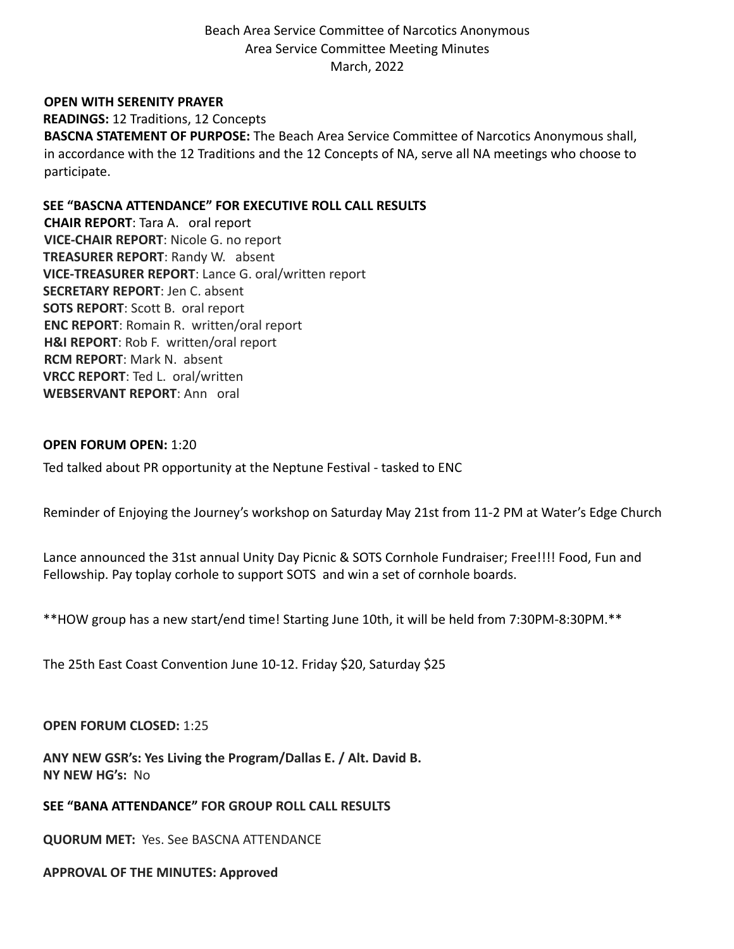Beach Area Service Committee of Narcotics Anonymous Area Service Committee Meeting Minutes March, 2022

### **OPEN WITH SERENITY PRAYER**

**READINGS:** 12 Traditions, 12 Concepts **BASCNA STATEMENT OF PURPOSE:** The Beach Area Service Committee of Narcotics Anonymous shall, in accordance with the 12 Traditions and the 12 Concepts of NA, serve all NA meetings who choose to participate.

**SEE "BASCNA ATTENDANCE" FOR EXECUTIVE ROLL CALL RESULTS CHAIR REPORT**: Tara A. oral report **VICE-CHAIR REPORT**: Nicole G. no report **TREASURER REPORT**: Randy W. absent **VICE-TREASURER REPORT**: Lance G. oral/written report **SECRETARY REPORT**: Jen C. absent **SOTS REPORT**: Scott B. oral report **ENC REPORT**: Romain R. written/oral report **H&I REPORT**: Rob F. written/oral report **RCM REPORT**: Mark N. absent **VRCC REPORT**: Ted L. oral/written **WEBSERVANT REPORT**: Ann oral

#### **OPEN FORUM OPEN:** 1:20

Ted talked about PR opportunity at the Neptune Festival - tasked to ENC

Reminder of Enjoying the Journey's workshop on Saturday May 21st from 11-2 PM at Water's Edge Church

Lance announced the 31st annual Unity Day Picnic & SOTS Cornhole Fundraiser; Free!!!! Food, Fun and Fellowship. Pay toplay corhole to support SOTS and win a set of cornhole boards.

\*\*HOW group has a new start/end time! Starting June 10th, it will be held from 7:30PM-8:30PM.\*\*

The 25th East Coast Convention June 10-12. Friday \$20, Saturday \$25

### **OPEN FORUM CLOSED:** 1:25

**ANY NEW GSR's: Yes Living the Program/Dallas E. / Alt. David B. NY NEW HG's:** No

**SEE "BANA ATTENDANCE" FOR GROUP ROLL CALL RESULTS**

**QUORUM MET:** Yes. See BASCNA ATTENDANCE

#### **APPROVAL OF THE MINUTES: Approved**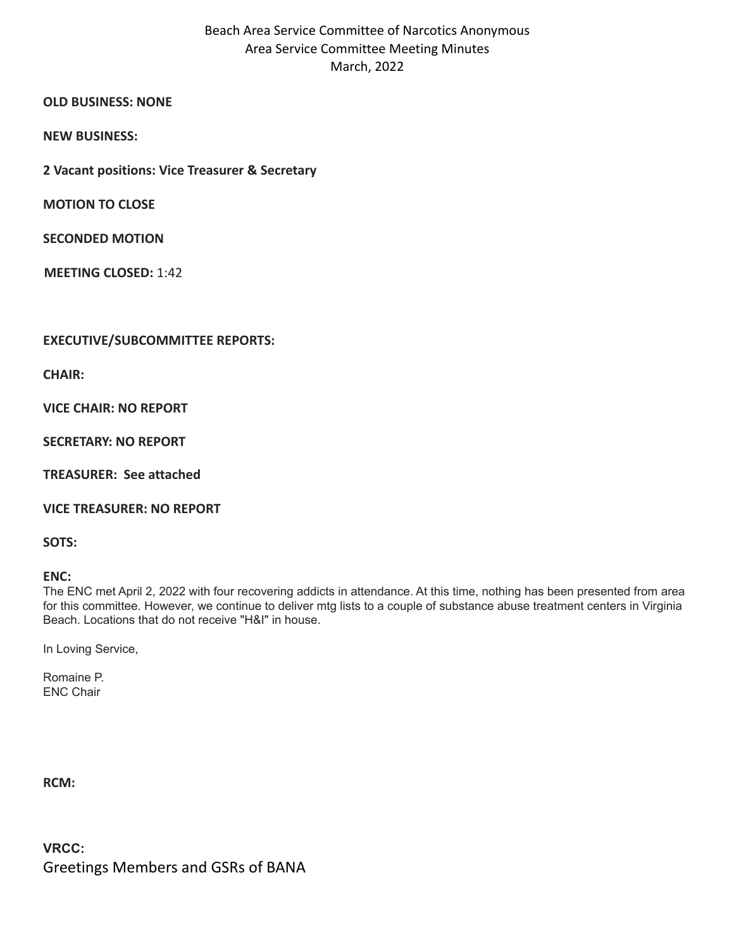# Beach Area Service Committee of Narcotics Anonymous Area Service Committee Meeting Minutes March, 2022

## **OLD BUSINESS: NONE**

**NEW BUSINESS:**

**2 Vacant positions: Vice Treasurer & Secretary**

**MOTION TO CLOSE**

**SECONDED MOTION**

**MEETING CLOSED:** 1:42

# **EXECUTIVE/SUBCOMMITTEE REPORTS:**

**CHAIR:**

**VICE CHAIR: NO REPORT**

**SECRETARY: NO REPORT**

**TREASURER: See attached**

**VICE TREASURER: NO REPORT**

**SOTS:**

**ENC:**

The ENC met April 2, 2022 with four recovering addicts in attendance. At this time, nothing has been presented from area for this committee. However, we continue to deliver mtg lists to a couple of substance abuse treatment centers in Virginia Beach. Locations that do not receive "H&I" in house.

In Loving Service,

Romaine P. ENC Chair

**RCM:**

**VRCC:** Greetings Members and GSRs of BANA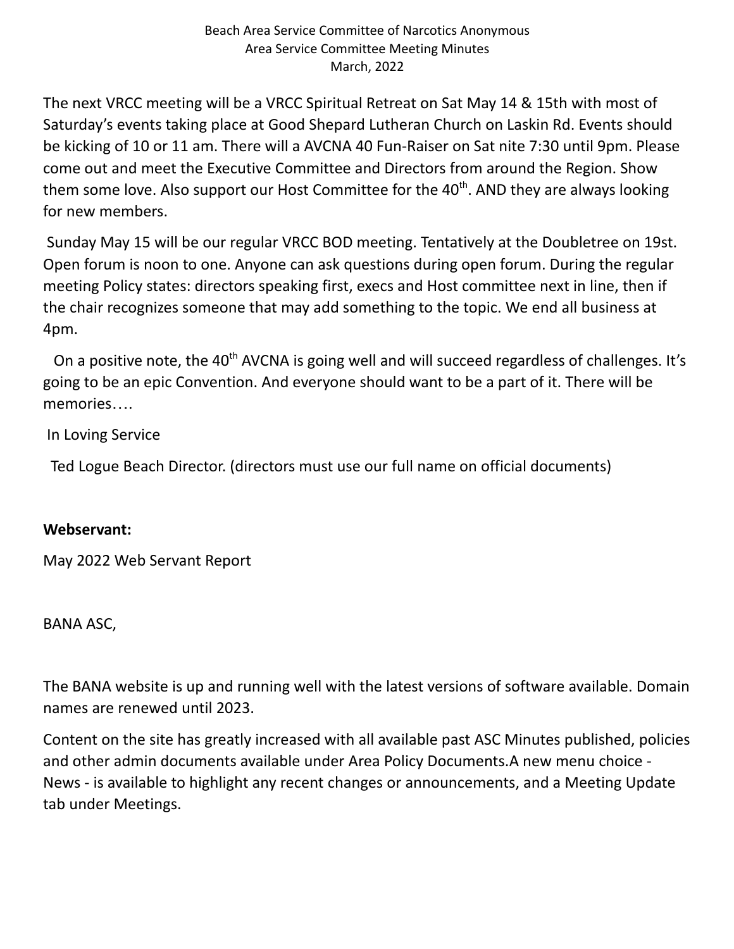The next VRCC meeting will be a VRCC Spiritual Retreat on Sat May 14 & 15th with most of Saturday's events taking place at Good Shepard Lutheran Church on Laskin Rd. Events should be kicking of 10 or 11 am. There will a AVCNA 40 Fun-Raiser on Sat nite 7:30 until 9pm. Please come out and meet the Executive Committee and Directors from around the Region. Show them some love. Also support our Host Committee for the 40<sup>th</sup>. AND they are always looking for new members.

Sunday May 15 will be our regular VRCC BOD meeting. Tentatively at the Doubletree on 19st. Open forum is noon to one. Anyone can ask questions during open forum. During the regular meeting Policy states: directors speaking first, execs and Host committee next in line, then if the chair recognizes someone that may add something to the topic. We end all business at 4pm.

On a positive note, the 40<sup>th</sup> AVCNA is going well and will succeed regardless of challenges. It's going to be an epic Convention. And everyone should want to be a part of it. There will be memories….

In Loving Service

Ted Logue Beach Director. (directors must use our full name on official documents)

# **Webservant:**

May 2022 Web Servant Report

BANA ASC,

The BANA website is up and running well with the latest versions of software available. Domain names are renewed until 2023.

Content on the site has greatly increased with all available past ASC Minutes published, policies and other admin documents available under Area Policy Documents.A new menu choice - News - is available to highlight any recent changes or announcements, and a Meeting Update tab under Meetings.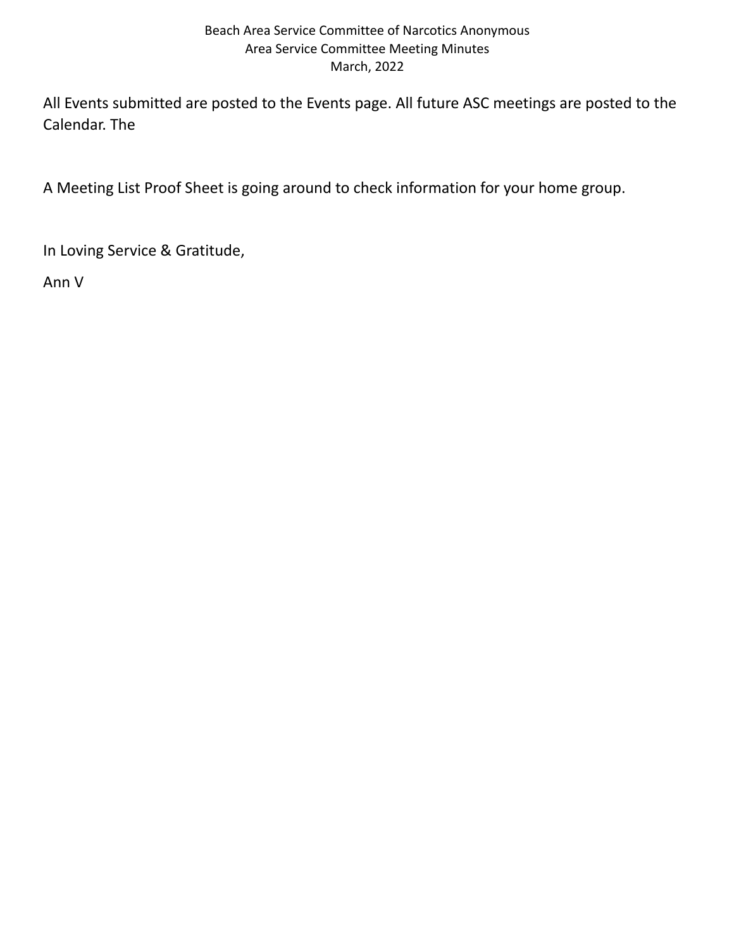# Beach Area Service Committee of Narcotics Anonymous Area Service Committee Meeting Minutes March, 2022

All Events submitted are posted to the Events page. All future ASC meetings are posted to the Calendar. The

A Meeting List Proof Sheet is going around to check information for your home group.

In Loving Service & Gratitude,

Ann V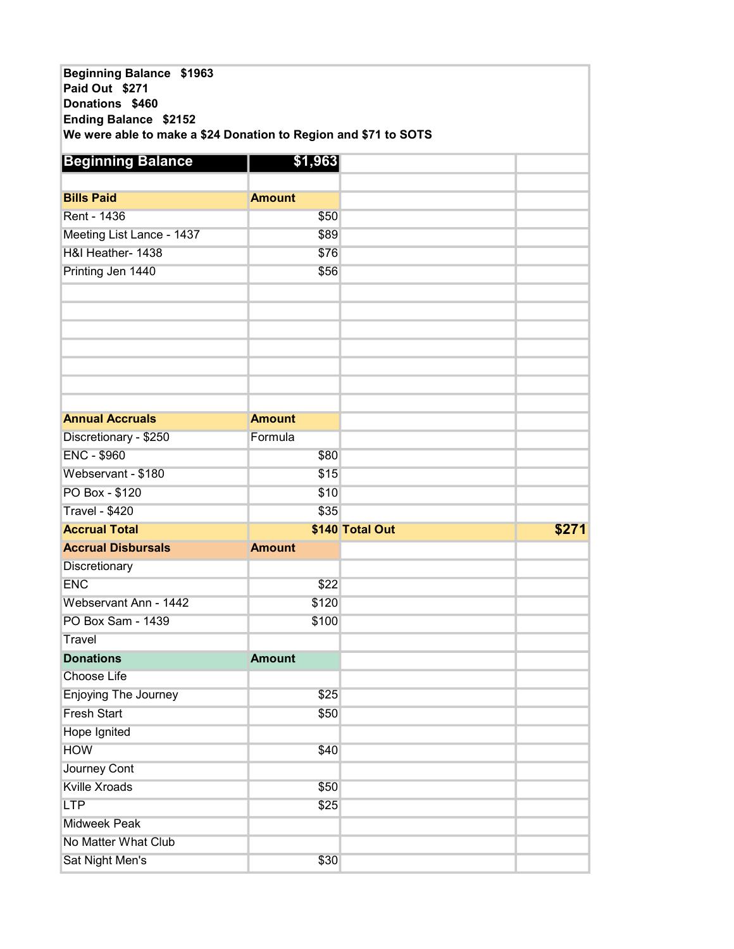| Beginning Balance \$1963<br>Paid Out \$271<br>Donations \$460<br>Ending Balance \$2152<br>We were able to make a \$24 Donation to Region and \$71 to SOTS |               |                 |       |
|-----------------------------------------------------------------------------------------------------------------------------------------------------------|---------------|-----------------|-------|
| <b>Beginning Balance</b>                                                                                                                                  | \$1,963       |                 |       |
|                                                                                                                                                           |               |                 |       |
| <b>Bills Paid</b>                                                                                                                                         | <b>Amount</b> |                 |       |
| <b>Rent - 1436</b>                                                                                                                                        | \$50          |                 |       |
| Meeting List Lance - 1437                                                                                                                                 | \$89          |                 |       |
| H&I Heather- 1438                                                                                                                                         | \$76          |                 |       |
| Printing Jen 1440                                                                                                                                         | \$56          |                 |       |
|                                                                                                                                                           |               |                 |       |
|                                                                                                                                                           |               |                 |       |
|                                                                                                                                                           |               |                 |       |
|                                                                                                                                                           |               |                 |       |
|                                                                                                                                                           |               |                 |       |
|                                                                                                                                                           |               |                 |       |
|                                                                                                                                                           |               |                 |       |
| <b>Annual Accruals</b>                                                                                                                                    | <b>Amount</b> |                 |       |
| Discretionary - \$250                                                                                                                                     | Formula       |                 |       |
| <b>ENC - \$960</b>                                                                                                                                        | \$80          |                 |       |
| Webservant - \$180                                                                                                                                        | \$15          |                 |       |
| PO Box - \$120                                                                                                                                            | \$10          |                 |       |
| <b>Travel - \$420</b>                                                                                                                                     | \$35          |                 |       |
| <b>Accrual Total</b>                                                                                                                                      |               | \$140 Total Out | \$271 |
| <b>Accrual Disbursals</b>                                                                                                                                 | <b>Amount</b> |                 |       |
| Discretionary                                                                                                                                             |               |                 |       |
| <b>ENC</b>                                                                                                                                                | \$22          |                 |       |
| Webservant Ann - 1442                                                                                                                                     | \$120         |                 |       |
| PO Box Sam - 1439                                                                                                                                         | \$100         |                 |       |
| <b>Travel</b>                                                                                                                                             |               |                 |       |
| <b>Donations</b>                                                                                                                                          | <b>Amount</b> |                 |       |
| <b>Choose Life</b>                                                                                                                                        |               |                 |       |
| <b>Enjoying The Journey</b>                                                                                                                               | \$25          |                 |       |
| <b>Fresh Start</b>                                                                                                                                        | \$50          |                 |       |
| Hope Ignited                                                                                                                                              |               |                 |       |
| <b>HOW</b>                                                                                                                                                | \$40          |                 |       |
| Journey Cont                                                                                                                                              |               |                 |       |
| <b>Kville Xroads</b>                                                                                                                                      | \$50          |                 |       |
| <b>LTP</b>                                                                                                                                                | \$25          |                 |       |
| <b>Midweek Peak</b>                                                                                                                                       |               |                 |       |
| No Matter What Club                                                                                                                                       |               |                 |       |
| Sat Night Men's                                                                                                                                           | \$30          |                 |       |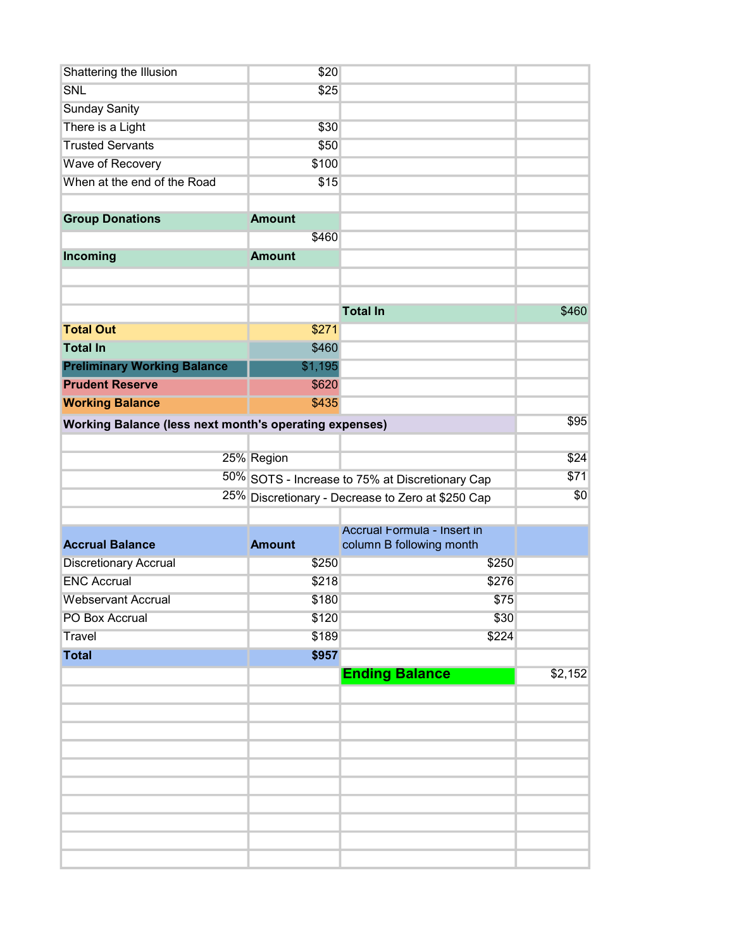| Shattering the Illusion                                       | \$20                                            |                                                   |         |  |
|---------------------------------------------------------------|-------------------------------------------------|---------------------------------------------------|---------|--|
| SNL                                                           | \$25                                            |                                                   |         |  |
| <b>Sunday Sanity</b>                                          |                                                 |                                                   |         |  |
| There is a Light                                              | \$30                                            |                                                   |         |  |
| <b>Trusted Servants</b>                                       | \$50                                            |                                                   |         |  |
| Wave of Recovery                                              | \$100                                           |                                                   |         |  |
| When at the end of the Road                                   | \$15                                            |                                                   |         |  |
|                                                               |                                                 |                                                   |         |  |
| <b>Group Donations</b>                                        | <b>Amount</b>                                   |                                                   |         |  |
|                                                               | \$460                                           |                                                   |         |  |
| Incoming                                                      | <b>Amount</b>                                   |                                                   |         |  |
|                                                               |                                                 |                                                   |         |  |
|                                                               |                                                 |                                                   |         |  |
|                                                               |                                                 | <b>Total In</b>                                   | \$460   |  |
| <b>Total Out</b>                                              | \$271                                           |                                                   |         |  |
| <b>Total In</b>                                               | \$460                                           |                                                   |         |  |
| <b>Preliminary Working Balance</b>                            | \$1,195                                         |                                                   |         |  |
| <b>Prudent Reserve</b>                                        | \$620                                           |                                                   |         |  |
| <b>Working Balance</b>                                        | \$435                                           |                                                   |         |  |
| <b>Working Balance (less next month's operating expenses)</b> |                                                 |                                                   | \$95    |  |
|                                                               |                                                 |                                                   |         |  |
|                                                               | 25% Region                                      |                                                   | \$24    |  |
|                                                               | 50% SOTS - Increase to 75% at Discretionary Cap | \$71                                              |         |  |
|                                                               |                                                 | 25% Discretionary - Decrease to Zero at \$250 Cap |         |  |
|                                                               |                                                 |                                                   |         |  |
|                                                               |                                                 | Accrual Formula - Insert in                       |         |  |
| <b>Accrual Balance</b>                                        | <b>Amount</b>                                   | column B following month                          |         |  |
| <b>Discretionary Accrual</b>                                  | \$250                                           | \$250                                             |         |  |
| <b>ENC Accrual</b>                                            | \$218                                           | \$276                                             |         |  |
| <b>Webservant Accrual</b>                                     | \$180                                           | \$75                                              |         |  |
| PO Box Accrual                                                | \$120                                           | \$30                                              |         |  |
| Travel                                                        | \$189                                           | \$224                                             |         |  |
| <b>Total</b>                                                  | \$957                                           |                                                   |         |  |
|                                                               |                                                 | <b>Ending Balance</b>                             | \$2,152 |  |
|                                                               |                                                 |                                                   |         |  |
|                                                               |                                                 |                                                   |         |  |
|                                                               |                                                 |                                                   |         |  |
|                                                               |                                                 |                                                   |         |  |
|                                                               |                                                 |                                                   |         |  |
|                                                               |                                                 |                                                   |         |  |
|                                                               |                                                 |                                                   |         |  |
|                                                               |                                                 |                                                   |         |  |
|                                                               |                                                 |                                                   |         |  |
|                                                               |                                                 |                                                   |         |  |